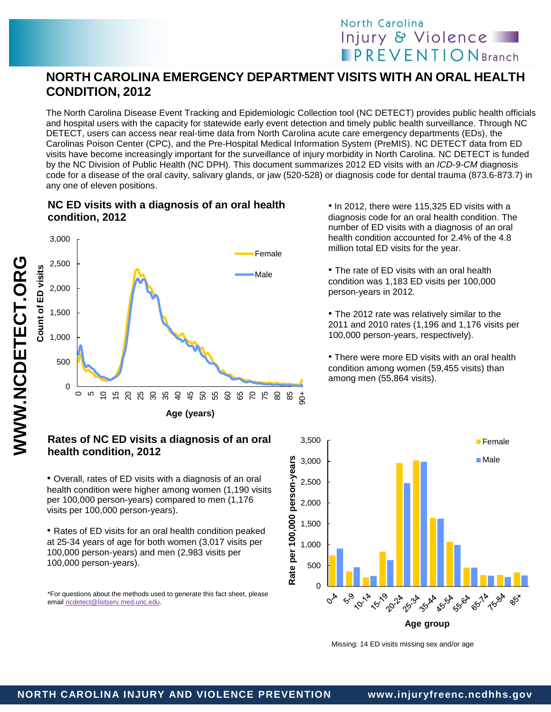# North Carolina Injury & Violence **PREVENTIONBranch**

## **NORTH CAROLINA EMERGENCY DEPARTMENT VISITS WITH AN ORAL HEALTH CONDITION, 2012**

The North Carolina Disease Event Tracking and Epidemiologic Collection tool (NC DETECT) provides public health officials and hospital users with the capacity for statewide early event detection and timely public health surveillance. Through NC DETECT, users can access near real-time data from North Carolina acute care emergency departments (EDs), the Carolinas Poison Center (CPC), and the Pre-Hospital Medical Information System (PreMIS). NC DETECT data from ED visits have become increasingly important for the surveillance of injury morbidity in North Carolina. NC DETECT is funded by the NC Division of Public Health (NC DPH). This document summarizes 2012 ED visits with an *ICD-9-CM* diagnosis code for a disease of the oral cavity, salivary glands, or jaw (520-528) or diagnosis code for dental trauma (873.6-873.7) in any one of eleven positions.

### **NC ED visits with a diagnosis of an oral health condition, 2012**



#### **Rates of NC ED visits a diagnosis of an oral health condition, 2012**

• Overall, rates of ED visits with a diagnosis of an oral health condition were higher among women (1,190 visits per 100,000 person-years) compared to men (1,176 visits per 100,000 person-years).

• Rates of ED visits for an oral health condition peaked at 25-34 years of age for both women (3,017 visits per 100,000 person-years) and men (2,983 visits per 100,000 person-years).

\*For questions about the methods used to generate this fact sheet, please email [ncdetect@listserv.med.unc.edu.](mailto:ncdetect@listserv.med.unc.edu) 

• In 2012, there were 115,325 ED visits with a diagnosis code for an oral health condition. The number of ED visits with a diagnosis of an oral health condition accounted for 2.4% of the 4.8 million total ED visits for the year.

• The rate of ED visits with an oral health condition was 1,183 ED visits per 100,000 person-years in 2012.

• The 2012 rate was relatively similar to the 2011 and 2010 rates (1,196 and 1,176 visits per 100,000 person-years, respectively).

• There were more ED visits with an oral health condition among women (59,455 visits) than among men (55,864 visits).



Missing: 14 ED visits missing sex and/or age